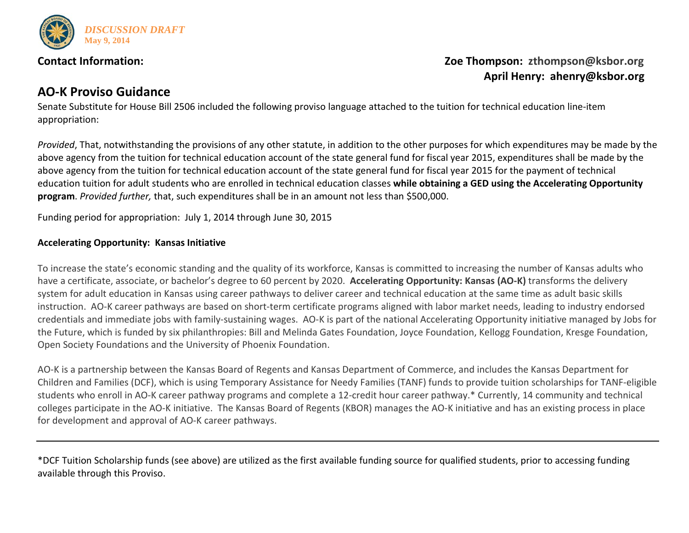

# **Contact Information: Contact Information:** *Zoe Thompson: [zthompson@ksbor.org](mailto:zthompson@ksbor.org)*  **April Henry: ahenry@ksbor.org**

# **AO-K Proviso Guidance**

Senate Substitute for House Bill 2506 included the following proviso language attached to the tuition for technical education line-item appropriation:

*Provided*, That, notwithstanding the provisions of any other statute, in addition to the other purposes for which expenditures may be made by the above agency from the tuition for technical education account of the state general fund for fiscal year 2015, expenditures shall be made by the above agency from the tuition for technical education account of the state general fund for fiscal year 2015 for the payment of technical education tuition for adult students who are enrolled in technical education classes **while obtaining a GED using the Accelerating Opportunity program**. *Provided further,* that, such expenditures shall be in an amount not less than \$500,000.

Funding period for appropriation: July 1, 2014 through June 30, 2015

## **Accelerating Opportunity: Kansas Initiative**

To increase the state's economic standing and the quality of its workforce, Kansas is committed to increasing the number of Kansas adults who have a certificate, associate, or bachelor's degree to 60 percent by 2020. **Accelerating Opportunity: Kansas (AO-K)** transforms the delivery system for adult education in Kansas using career pathways to deliver career and technical education at the same time as adult basic skills instruction. AO-K career pathways are based on short-term certificate programs aligned with labor market needs, leading to industry endorsed credentials and immediate jobs with family-sustaining wages. AO-K is part of the national Accelerating Opportunity initiative managed by [Jobs for](http://www.jff.org/)  [the Future,](http://www.jff.org/) which is funded by six philanthropies: Bill and Melinda Gates Foundation, Joyce Foundation, Kellogg Foundation, Kresge Foundation, Open Society Foundations and the University of Phoenix Foundation.

AO-K is a partnership between the Kansas Board of Regents and Kansas Department of Commerce, and includes the Kansas Department for Children and Families (DCF), which is using Temporary Assistance for Needy Families (TANF) funds to provide tuition scholarships for TANF-eligible students who enroll in AO-K career pathway programs and complete a 12-credit hour career pathway.\* Currently, 14 community and technical colleges participate in the AO-K initiative. The Kansas Board of Regents (KBOR) manages the AO-K initiative and has an existing process in place for development and approval of AO-K career pathways.

\*DCF Tuition Scholarship funds (see above) are utilized as the first available funding source for qualified students, prior to accessing funding available through this Proviso.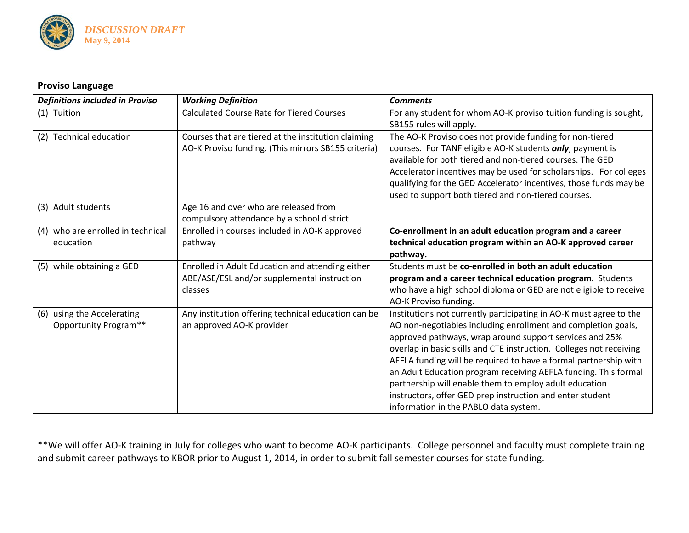

### **Proviso Language**

| <b>Definitions included in Proviso</b> | <b>Working Definition</b>                           | <b>Comments</b>                                                     |
|----------------------------------------|-----------------------------------------------------|---------------------------------------------------------------------|
| (1) Tuition                            | <b>Calculated Course Rate for Tiered Courses</b>    | For any student for whom AO-K proviso tuition funding is sought,    |
|                                        |                                                     | SB155 rules will apply.                                             |
| <b>Technical education</b><br>(2)      | Courses that are tiered at the institution claiming | The AO-K Proviso does not provide funding for non-tiered            |
|                                        | AO-K Proviso funding. (This mirrors SB155 criteria) | courses. For TANF eligible AO-K students only, payment is           |
|                                        |                                                     | available for both tiered and non-tiered courses. The GED           |
|                                        |                                                     | Accelerator incentives may be used for scholarships. For colleges   |
|                                        |                                                     | qualifying for the GED Accelerator incentives, those funds may be   |
|                                        |                                                     | used to support both tiered and non-tiered courses.                 |
| (3) Adult students                     | Age 16 and over who are released from               |                                                                     |
|                                        | compulsory attendance by a school district          |                                                                     |
| who are enrolled in technical<br>(4)   | Enrolled in courses included in AO-K approved       | Co-enrollment in an adult education program and a career            |
| education                              | pathway                                             | technical education program within an AO-K approved career          |
|                                        |                                                     | pathway.                                                            |
| while obtaining a GED<br>(5)           | Enrolled in Adult Education and attending either    | Students must be co-enrolled in both an adult education             |
|                                        | ABE/ASE/ESL and/or supplemental instruction         | program and a career technical education program. Students          |
|                                        | classes                                             | who have a high school diploma or GED are not eligible to receive   |
|                                        |                                                     | AO-K Proviso funding.                                               |
| using the Accelerating<br>(6)          | Any institution offering technical education can be | Institutions not currently participating in AO-K must agree to the  |
| Opportunity Program**                  | an approved AO-K provider                           | AO non-negotiables including enrollment and completion goals,       |
|                                        |                                                     | approved pathways, wrap around support services and 25%             |
|                                        |                                                     | overlap in basic skills and CTE instruction. Colleges not receiving |
|                                        |                                                     | AEFLA funding will be required to have a formal partnership with    |
|                                        |                                                     | an Adult Education program receiving AEFLA funding. This formal     |
|                                        |                                                     | partnership will enable them to employ adult education              |
|                                        |                                                     | instructors, offer GED prep instruction and enter student           |
|                                        |                                                     | information in the PABLO data system.                               |

\*\*We will offer AO-K training in July for colleges who want to become AO-K participants. College personnel and faculty must complete training and submit career pathways to KBOR prior to August 1, 2014, in order to submit fall semester courses for state funding.